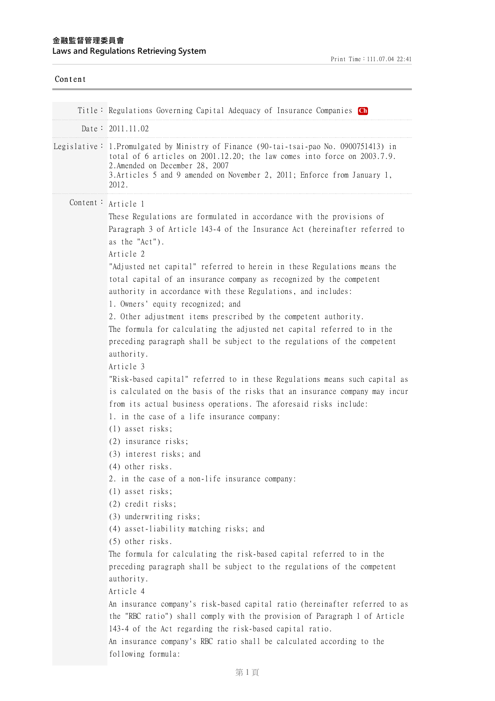Print Time:111.07.04 22:41

| Content |                                                                                                                                                                                                                                                                                                                                                                                                                                                                                                                                                                                                                                                                                                                                                                                                                                                                                                                                                                                                                                                                                                                                                                                |
|---------|--------------------------------------------------------------------------------------------------------------------------------------------------------------------------------------------------------------------------------------------------------------------------------------------------------------------------------------------------------------------------------------------------------------------------------------------------------------------------------------------------------------------------------------------------------------------------------------------------------------------------------------------------------------------------------------------------------------------------------------------------------------------------------------------------------------------------------------------------------------------------------------------------------------------------------------------------------------------------------------------------------------------------------------------------------------------------------------------------------------------------------------------------------------------------------|
|         | Title: Regulations Governing Capital Adequacy of Insurance Companies Ch                                                                                                                                                                                                                                                                                                                                                                                                                                                                                                                                                                                                                                                                                                                                                                                                                                                                                                                                                                                                                                                                                                        |
|         | Date: 2011.11.02                                                                                                                                                                                                                                                                                                                                                                                                                                                                                                                                                                                                                                                                                                                                                                                                                                                                                                                                                                                                                                                                                                                                                               |
|         | Legislative: 1.Promulgated by Ministry of Finance (90-tai-tsai-pao No. 0900751413) in<br>total of 6 articles on $2001.12.20$ ; the law comes into force on $2003.7.9$ .<br>2. Amended on December 28, 2007<br>3. Articles 5 and 9 amended on November 2, 2011; Enforce from January 1,<br>2012.                                                                                                                                                                                                                                                                                                                                                                                                                                                                                                                                                                                                                                                                                                                                                                                                                                                                                |
|         | Content: Article 1<br>These Regulations are formulated in accordance with the provisions of<br>Paragraph 3 of Article 143-4 of the Insurance Act (hereinafter referred to<br>as the "Act").<br>Article 2<br>"Adjusted net capital" referred to herein in these Regulations means the<br>total capital of an insurance company as recognized by the competent<br>authority in accordance with these Regulations, and includes:<br>1. Owners' equity recognized; and<br>2. Other adjustment items prescribed by the competent authority.<br>The formula for calculating the adjusted net capital referred to in the<br>preceding paragraph shall be subject to the regulations of the competent<br>authority.<br>Article 3<br>"Risk-based capital" referred to in these Regulations means such capital as<br>is calculated on the basis of the risks that an insurance company may incur<br>from its actual business operations. The aforesaid risks include:<br>1. in the case of a life insurance company:<br>$(1)$ asset risks;<br>(2) insurance risks;<br>(3) interest risks; and<br>(4) other risks.<br>2. in the case of a non-life insurance company:<br>(1) asset risks; |
|         | (2) credit risks;<br>(3) underwriting risks;<br>(4) asset-liability matching risks; and<br>(5) other risks.<br>The formula for calculating the risk-based capital referred to in the<br>preceding paragraph shall be subject to the regulations of the competent<br>authority.<br>Article 4<br>An insurance company's risk-based capital ratio (hereinafter referred to as<br>the "RBC ratio") shall comply with the provision of Paragraph 1 of Article<br>143-4 of the Act regarding the risk-based capital ratio.<br>An insurance company's RBC ratio shall be calculated according to the<br>following formula:                                                                                                                                                                                                                                                                                                                                                                                                                                                                                                                                                            |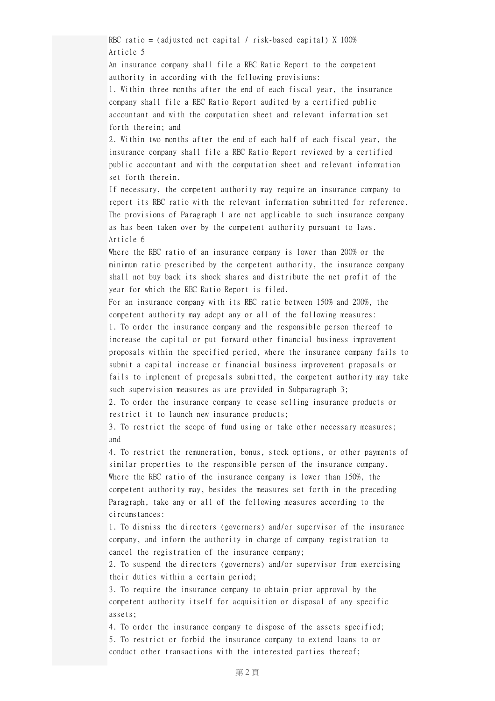RBC ratio = (adjusted net capital / risk-based capital) X 100% Article 5

An insurance company shall file a RBC Ratio Report to the competent authority in according with the following provisions:

1. Within three months after the end of each fiscal year, the insurance company shall file a RBC Ratio Report audited by a certified public accountant and with the computation sheet and relevant information set forth therein; and

2. Within two months after the end of each half of each fiscal year, the insurance company shall file a RBC Ratio Report reviewed by a certified public accountant and with the computation sheet and relevant information set forth therein.

If necessary, the competent authority may require an insurance company to report its RBC ratio with the relevant information submitted for reference. The provisions of Paragraph 1 are not applicable to such insurance company as has been taken over by the competent authority pursuant to laws. Article 6

Where the RBC ratio of an insurance company is lower than 200% or the minimum ratio prescribed by the competent authority, the insurance company shall not buy back its shock shares and distribute the net profit of the year for which the RBC Ratio Report is filed.

For an insurance company with its RBC ratio between 150% and 200%, the competent authority may adopt any or all of the following measures:

1. To order the insurance company and the responsible person thereof to increase the capital or put forward other financial business improvement proposals within the specified period, where the insurance company fails to submit a capital increase or financial business improvement proposals or fails to implement of proposals submitted, the competent authority may take such supervision measures as are provided in Subparagraph 3;

2. To order the insurance company to cease selling insurance products or restrict it to launch new insurance products;

3. To restrict the scope of fund using or take other necessary measures; and

4. To restrict the remuneration, bonus, stock options, or other payments of similar properties to the responsible person of the insurance company. Where the RBC ratio of the insurance company is lower than 150%, the competent authority may, besides the measures set forth in the preceding Paragraph, take any or all of the following measures according to the circumstances:

1. To dismiss the directors (governors) and/or supervisor of the insurance company, and inform the authority in charge of company registration to cancel the registration of the insurance company;

2. To suspend the directors (governors) and/or supervisor from exercising their duties within a certain period;

3. To require the insurance company to obtain prior approval by the competent authority itself for acquisition or disposal of any specific assets;

4. To order the insurance company to dispose of the assets specified; 5. To restrict or forbid the insurance company to extend loans to or conduct other transactions with the interested parties thereof;